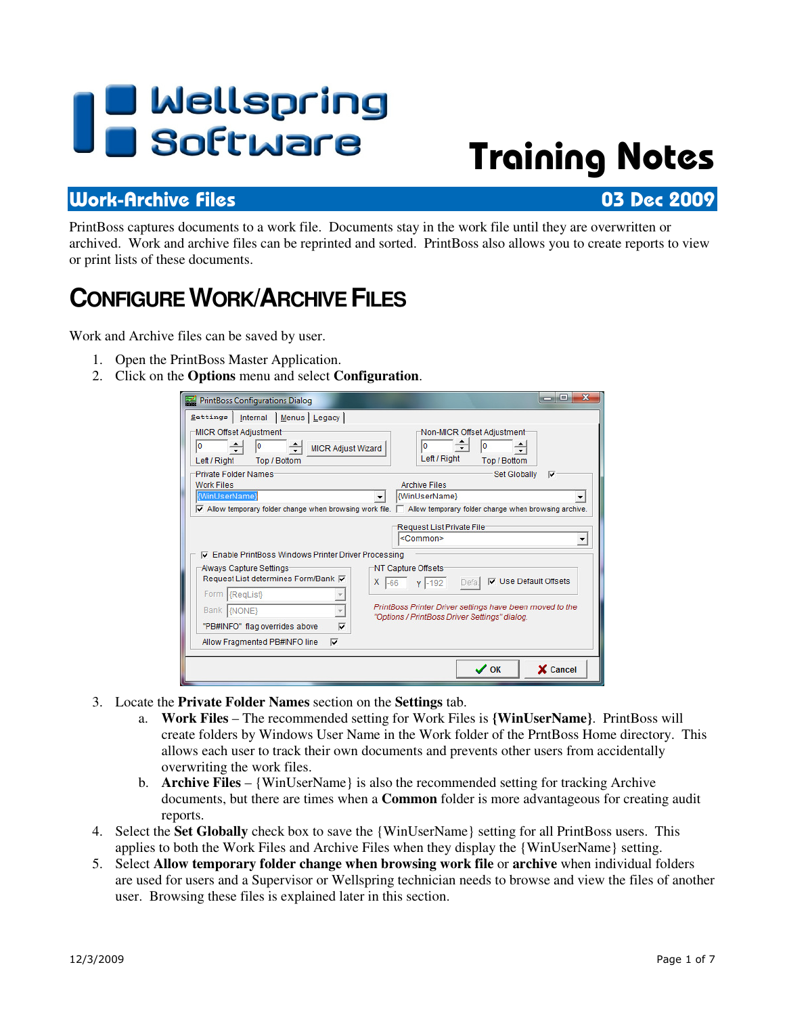# **I B** Wellspring<br>**U B** Software

## Training Notes

#### Work-Archive Files 03 Dec 2009

PrintBoss captures documents to a work file. Documents stay in the work file until they are overwritten or archived. Work and archive files can be reprinted and sorted. PrintBoss also allows you to create reports to view or print lists of these documents.

## **CONFIGURE WORK/ARCHIVE FILES**

Work and Archive files can be saved by user.

- 1. Open the PrintBoss Master Application.
- 2. Click on the **Options** menu and select **Configuration**.

| <b>PrintBoss Configurations Dialog</b><br>ॾ                                                             | $\mathbf x$<br>$=$                                                                                                                                           |
|---------------------------------------------------------------------------------------------------------|--------------------------------------------------------------------------------------------------------------------------------------------------------------|
| Settings   Internal   Menus   Legacy                                                                    |                                                                                                                                                              |
| <b>MICR Offset Adjustment</b><br>10<br><b>MICR Adjust Wizard</b><br>Left / Right<br><b>Top / Bottom</b> | Non-MICR Offset Adjustment<br>١o<br>۱O<br>Left / Right<br><b>Top / Bottom</b>                                                                                |
| <b>Private Folder Names:</b><br><b>Work Files</b>                                                       | <b>Set Globally</b><br>⊽<br><b>Archive Files</b>                                                                                                             |
| {WinUserName}                                                                                           | {WinUserName}<br>$\triangledown$ Allow temporary folder change when browsing work file. $\triangledown$ Allow temporary folder change when browsing archive. |
| <b>I</b> Enable PrintBoss Windows Printer Driver Processing                                             | Request List Private File-<br><common></common>                                                                                                              |
| Always Capture Settings<br>Request List determines Form/Bank $\nabla$                                   | NT Capture Offsets<br><b>V</b> Use Default Offsets<br>x<br>$Y$ -192<br>Defa<br>$-66$                                                                         |
| Form RegList<br>Bank {NONE}                                                                             | PrintBoss Printer Driver settings have been moved to the<br>"Options / PrintBoss Driver Settings" dialog.                                                    |
| ⊽<br>"PB#INFO" flag overrides above                                                                     |                                                                                                                                                              |
| Allow Fragmented PB#INFO line<br>⊽                                                                      |                                                                                                                                                              |
|                                                                                                         | $\boldsymbol{\mathcal{S}}$ ok<br>X Cancel                                                                                                                    |

- 3. Locate the **Private Folder Names** section on the **Settings** tab.
	- a. **Work Files** The recommended setting for Work Files is **{WinUserName}**. PrintBoss will create folders by Windows User Name in the Work folder of the PrntBoss Home directory. This allows each user to track their own documents and prevents other users from accidentally overwriting the work files.
	- b. **Archive Files** {WinUserName} is also the recommended setting for tracking Archive documents, but there are times when a **Common** folder is more advantageous for creating audit reports.
- 4. Select the **Set Globally** check box to save the {WinUserName} setting for all PrintBoss users. This applies to both the Work Files and Archive Files when they display the {WinUserName} setting.
- 5. Select **Allow temporary folder change when browsing work file** or **archive** when individual folders are used for users and a Supervisor or Wellspring technician needs to browse and view the files of another user. Browsing these files is explained later in this section.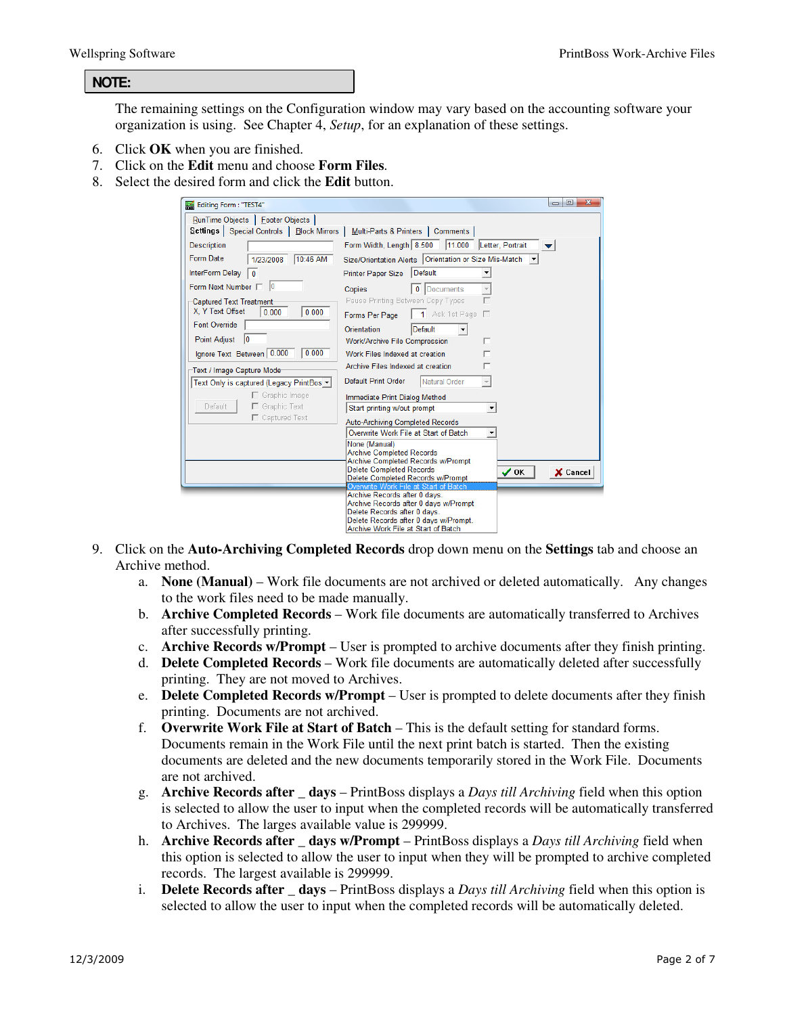#### **NOTE:**

The remaining settings on the Configuration window may vary based on the accounting software your organization is using. See Chapter 4, *Setup*, for an explanation of these settings.

- 6. Click **OK** when you are finished.
- 7. Click on the **Edit** menu and choose **Form Files**.
- 8. Select the desired form and click the **Edit** button.

| Editing Form: "TEST4"                                                                                                                                                                               |                                                                                                                                                                                                                                      | $\mathbf{x}$<br>$\Box$ $\Box$ |
|-----------------------------------------------------------------------------------------------------------------------------------------------------------------------------------------------------|--------------------------------------------------------------------------------------------------------------------------------------------------------------------------------------------------------------------------------------|-------------------------------|
| RunTime Objects   Footer Objects  <br>Settings   Special Controls   Block Mirrors   Multi-Parts & Printers   Comments                                                                               |                                                                                                                                                                                                                                      |                               |
| <b>Description</b><br>Form Date<br>10:46 AM<br>1/23/2008                                                                                                                                            | Form Width, Length 8.500 11.000 Letter, Portrait<br>Size/Orientation Alerts   Orientation or Size Mis-Match                                                                                                                          |                               |
| <b>InterForm Delay</b><br>$\mathbf{0}$                                                                                                                                                              | <b>Default</b><br><b>Printer Paper Size</b>                                                                                                                                                                                          |                               |
| Form Next Number   0<br><b>Captured Text Treatment</b><br>X, Y Text Offset<br>0.000<br>0.000<br><b>Font Override</b><br>$\overline{0}$<br><b>Point Adjust</b><br>0.000<br>Ignore Text Between 0.000 | 0 Documents<br><b>Copies</b><br>Pause Printing Between Copy Types<br>1 Ask 1st Page<br>Forms Per Page<br>Orientation<br>Default<br><b>Work/Archive File Compression</b><br>г<br>Work Files Indexed at creation                       |                               |
| Text / Image Capture Mode-<br>Text Only is captured (Legacy PrintBos ▼<br>$\Box$ Graphic Image                                                                                                      | Archive Files Indexed at creation<br>Default Print Order<br>Natural Order<br>Immediate Print Dialog Method                                                                                                                           |                               |
| Default<br>Graphic Text<br>Captured Text                                                                                                                                                            | Start printing w/out prompt<br><b>Auto-Archiving Completed Records</b><br>Overwrite Work File at Start of Batch<br>None (Manual)<br><b>Archive Completed Records</b>                                                                 |                               |
|                                                                                                                                                                                                     | <b>Archive Completed Records w/Prompt</b><br><b>Delete Completed Records</b><br>Delete Completed Records w/Prompt<br>Overwrite Work File at Start of Batch<br>Archive Records after 0 days.<br>Archive Records after 0 days w/Prompt | $\vee$ OK<br>X Cancel         |
|                                                                                                                                                                                                     | Delete Records after 0 days.<br>Delete Records after 0 days w/Prompt.<br>Archive Work File at Start of Batch                                                                                                                         |                               |

- 9. Click on the **Auto-Archiving Completed Records** drop down menu on the **Settings** tab and choose an Archive method.
	- a. **None (Manual)** Work file documents are not archived or deleted automatically. Any changes to the work files need to be made manually.
	- b. **Archive Completed Records** Work file documents are automatically transferred to Archives after successfully printing.
	- c. **Archive Records w/Prompt** User is prompted to archive documents after they finish printing.
	- d. **Delete Completed Records**  Work file documents are automatically deleted after successfully printing. They are not moved to Archives.
	- e. **Delete Completed Records w/Prompt**  User is prompted to delete documents after they finish printing. Documents are not archived.
	- f. **Overwrite Work File at Start of Batch** This is the default setting for standard forms. Documents remain in the Work File until the next print batch is started. Then the existing documents are deleted and the new documents temporarily stored in the Work File. Documents are not archived.
	- g. **Archive Records after \_ days**  PrintBoss displays a *Days till Archiving* field when this option is selected to allow the user to input when the completed records will be automatically transferred to Archives. The larges available value is 299999.
	- h. **Archive Records after \_ days w/Prompt**  PrintBoss displays a *Days till Archiving* field when this option is selected to allow the user to input when they will be prompted to archive completed records. The largest available is 299999.
	- i. **Delete Records after \_ days**  PrintBoss displays a *Days till Archiving* field when this option is selected to allow the user to input when the completed records will be automatically deleted.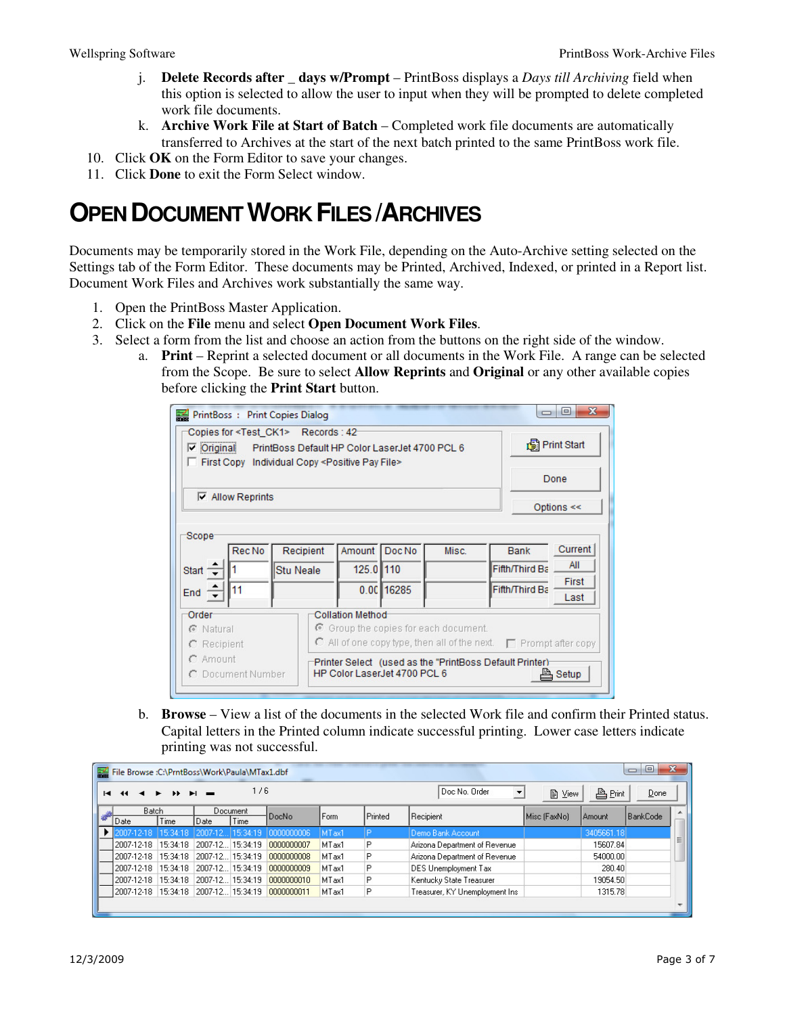- j. **Delete Records after \_ days w/Prompt**  PrintBoss displays a *Days till Archiving* field when this option is selected to allow the user to input when they will be prompted to delete completed work file documents.
- k. **Archive Work File at Start of Batch Completed work file documents are automatically** transferred to Archives at the start of the next batch printed to the same PrintBoss work file.
- 10. Click **OK** on the Form Editor to save your changes.
- 11. Click **Done** to exit the Form Select window.

## **OPEN DOCUMENT WORK FILES /ARCHIVES**

Documents may be temporarily stored in the Work File, depending on the Auto-Archive setting selected on the Settings tab of the Form Editor. These documents may be Printed, Archived, Indexed, or printed in a Report list. Document Work Files and Archives work substantially the same way.

- 1. Open the PrintBoss Master Application.
- 2. Click on the **File** menu and select **Open Document Work Files**.
- 3. Select a form from the list and choose an action from the buttons on the right side of the window.
	- a. **Print** Reprint a selected document or all documents in the Work File. A range can be selected from the Scope. Be sure to select **Allow Reprints** and **Original** or any other available copies before clicking the **Print Start** button.

| PrintBoss : Print Copies Dialog                                                                                                                                                                     |                                                                                                         |             |       | $\Box$                                                                                                                                 | $\overline{\mathbf{x}}$<br>$\Box$ |
|-----------------------------------------------------------------------------------------------------------------------------------------------------------------------------------------------------|---------------------------------------------------------------------------------------------------------|-------------|-------|----------------------------------------------------------------------------------------------------------------------------------------|-----------------------------------|
| Copies for <test ck1=""> Records: 42<br/><math>\nabla</math> Original<br/>PrintBoss Default HP Color LaserJet 4700 PCL 6<br/>First Copy Individual Copy <positive file="" pay=""></positive></test> |                                                                                                         | Print Start |       |                                                                                                                                        |                                   |
|                                                                                                                                                                                                     |                                                                                                         | Done        |       |                                                                                                                                        |                                   |
| $\nabla$ Allow Reprints                                                                                                                                                                             |                                                                                                         |             |       |                                                                                                                                        | Options $<<$                      |
| Scope <sup>-</sup><br>Rec No                                                                                                                                                                        | Recipient<br>Amount                                                                                     | Doc No      | Misc. | Bank                                                                                                                                   | Current<br>All                    |
| Start $\equiv$<br>11<br>End $\div$                                                                                                                                                                  | 125.0 110<br><b>Stu Neale</b>                                                                           | 0.00 16285  |       | Fifth/Third Ba<br>Fifth/Third Ba                                                                                                       | First                             |
| Order<br>C Natural<br>C Recipient<br>$C$ Amount<br>C Document Number                                                                                                                                | <b>Collation Method</b><br>$\odot$ Group the copies for each document.<br>HP Color Laser Jet 4700 PCL 6 |             |       | $\Box$ All of one copy type, then all of the next. $\Box$ Prompt after copy<br>Printer Select (used as the "PrintBoss Default Printer) | Last<br>Setup                     |

b. **Browse** – View a list of the documents in the selected Work file and confirm their Printed status. Capital letters in the Printed column indicate successful printing. Lower case letters indicate printing was not successful.

| x<br>$\Box$<br>$\Box$<br>File Browse :C:\PrntBoss\Work\Paula\MTax1.dbf                                                                                              |          |                  |       |             |                   |                      |                                |              |            |   |
|---------------------------------------------------------------------------------------------------------------------------------------------------------------------|----------|------------------|-------|-------------|-------------------|----------------------|--------------------------------|--------------|------------|---|
| 1/6<br>Doc No. Order<br>凸Print<br>昏<br>Done<br>$\overline{\phantom{a}}$<br>View<br>$\sim$<br>$\blacktriangleright$<br>$\blacktriangleright$<br>н<br>$\overline{44}$ |          |                  |       |             |                   |                      |                                |              |            |   |
| <b>Batch</b><br>Document                                                                                                                                            |          |                  | DocNo | Form        |                   | Printed<br>Recipient |                                | Amount       | BankCode   |   |
| Date                                                                                                                                                                | Time     | Date             | Time  |             |                   |                      |                                | Misc (FaxNo) |            |   |
| 12007-12-18                                                                                                                                                         | 15:34:18 | 2007-12 15:34:19 |       | 10000000006 | MT ax1            |                      | Demo Bank Account              |              | 3405661.18 |   |
| 2007-12-18                                                                                                                                                          | 15:34:18 | 2007-12 15:34:19 |       | 0000000007  | MTax1             | P                    | Arizona Department of Revenue  |              | 15607.84   | 目 |
| 12007-12-18                                                                                                                                                         | 15:34:18 | 2007-12 15:34:19 |       | 0000000008  | MTax1             | P                    | Arizona Department of Revenue  |              | 54000.00   |   |
| 12007-12-18                                                                                                                                                         | 15:34:18 | 2007-12 15:34:19 |       | 0000000009  | MT <sub>ax1</sub> | P                    | DES Unemployment Tax           |              | 280.40     |   |
| 2007-12-18                                                                                                                                                          | 15:34:18 | 2007-12 15:34:19 |       | 0000000010  | MTax1             | P                    | Kentucky State Treasurer       |              | 19054.50   |   |
| 2007-12-18                                                                                                                                                          | 15:34:18 | 2007-12 15:34:19 |       | 0000000011  | MTax1             | P                    | Treasurer, KY Unemployment Ins |              | 1315.78    |   |
|                                                                                                                                                                     |          |                  |       |             |                   |                      |                                |              |            |   |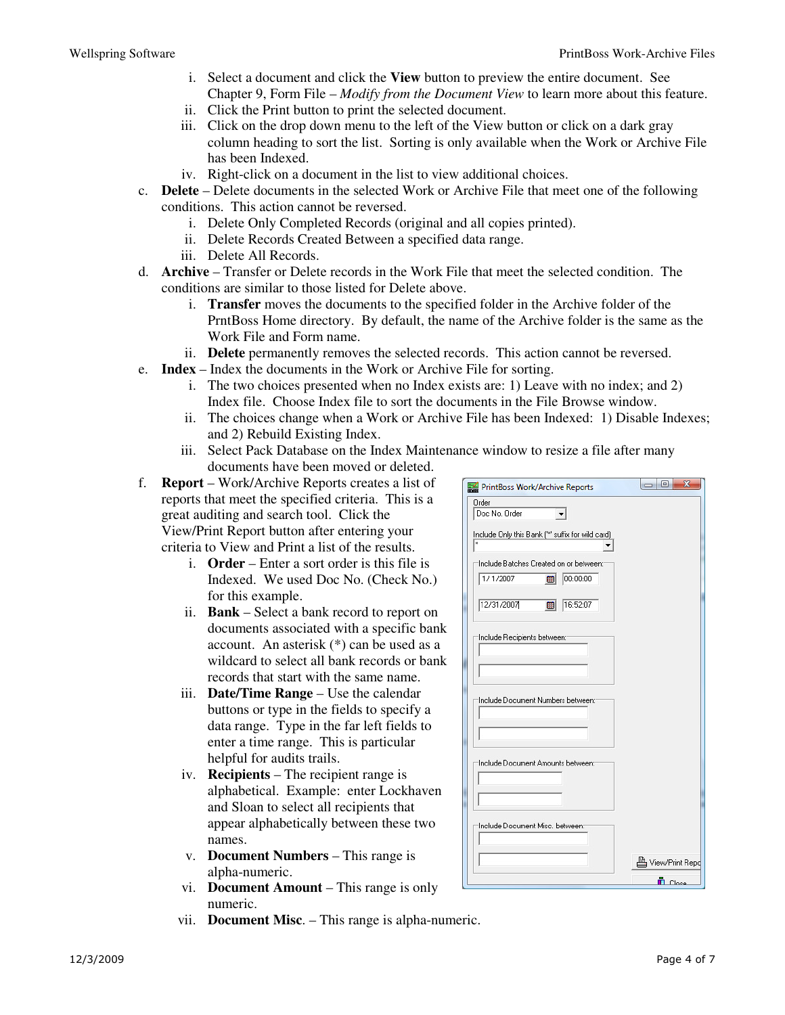- i. Select a document and click the **View** button to preview the entire document. See Chapter 9, Form File – *Modify from the Document View* to learn more about this feature.
- ii. Click the Print button to print the selected document.
- iii. Click on the drop down menu to the left of the View button or click on a dark gray column heading to sort the list. Sorting is only available when the Work or Archive File has been Indexed.
- iv. Right-click on a document in the list to view additional choices.
- c. **Delete** Delete documents in the selected Work or Archive File that meet one of the following conditions. This action cannot be reversed.
	- i. Delete Only Completed Records (original and all copies printed).
	- ii. Delete Records Created Between a specified data range.
	- iii. Delete All Records.
- d. **Archive** Transfer or Delete records in the Work File that meet the selected condition. The conditions are similar to those listed for Delete above.
	- i. **Transfer** moves the documents to the specified folder in the Archive folder of the PrntBoss Home directory. By default, the name of the Archive folder is the same as the Work File and Form name.
	- ii. **Delete** permanently removes the selected records. This action cannot be reversed.
- e. **Index** Index the documents in the Work or Archive File for sorting.
	- i. The two choices presented when no Index exists are: 1) Leave with no index; and 2) Index file. Choose Index file to sort the documents in the File Browse window.
	- ii. The choices change when a Work or Archive File has been Indexed: 1) Disable Indexes; and 2) Rebuild Existing Index.
	- iii. Select Pack Database on the Index Maintenance window to resize a file after many documents have been moved or deleted.
- f. **Report** Work/Archive Reports creates a list of reports that meet the specified criteria. This is a great auditing and search tool. Click the View/Print Report button after entering your criteria to View and Print a list of the results.
	- i. **Order** Enter a sort order is this file is Indexed. We used Doc No. (Check No.) for this example.
	- ii. **Bank** Select a bank record to report on documents associated with a specific bank account. An asterisk (\*) can be used as a wildcard to select all bank records or bank records that start with the same name.
	- iii. **Date/Time Range**  Use the calendar buttons or type in the fields to specify a data range. Type in the far left fields to enter a time range. This is particular helpful for audits trails.
	- iv. **Recipients**  The recipient range is alphabetical. Example: enter Lockhaven and Sloan to select all recipients that appear alphabetically between these two names.
	- v. **Document Numbers**  This range is alpha-numeric.
	- vi. **Document Amount**  This range is only numeric.
	- vii. **Document Misc**. This range is alpha-numeric.

| PrintBoss Work/Archive Reports                                              | $\mathbf{x}$<br>$\Box$ e |
|-----------------------------------------------------------------------------|--------------------------|
| Order                                                                       |                          |
| Doc No. Order                                                               |                          |
| Include Only this Bank (" suffix for wild card)<br>$\overline{\phantom{0}}$ |                          |
| Include Batches Created on or between:                                      |                          |
| 1/1/2007<br>00:00:00<br>師                                                   |                          |
|                                                                             |                          |
| 12/31/2007<br>16:52:07<br>翮                                                 |                          |
|                                                                             |                          |
| Include Recipients between:                                                 |                          |
|                                                                             |                          |
|                                                                             |                          |
| Include Document Numbers between:                                           |                          |
|                                                                             |                          |
|                                                                             |                          |
| Include Document Amounts between:                                           |                          |
|                                                                             |                          |
|                                                                             |                          |
|                                                                             |                          |
| Include Document Misc, between:                                             |                          |
|                                                                             |                          |
|                                                                             | <b>A</b> View/Print Repo |
|                                                                             | <b>n</b> Close           |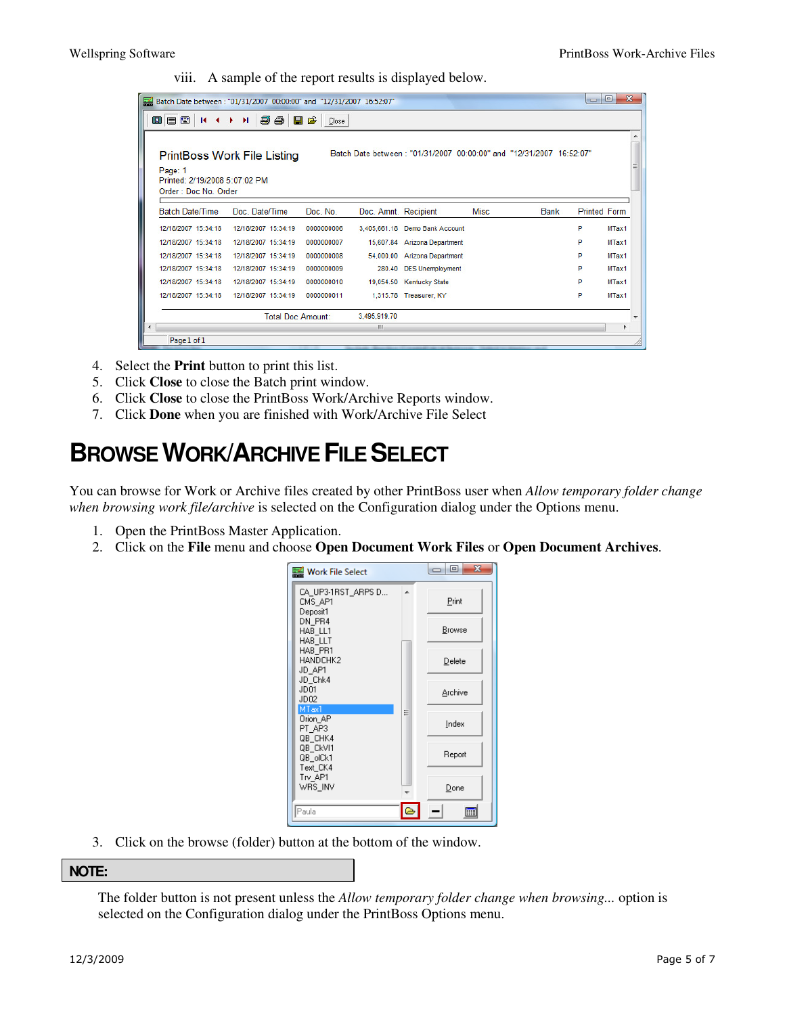viii. A sample of the report results is displayed below.

| $\mathbf{x}$<br>$\Box$<br>$\Box$<br>Batch Date between: "01/31/2007 00:00:00" and "12/31/2007 16:52:07" |                             |            |                      |                                                                     |             |             |                     |                          |
|---------------------------------------------------------------------------------------------------------|-----------------------------|------------|----------------------|---------------------------------------------------------------------|-------------|-------------|---------------------|--------------------------|
| 080<br>$M \rightarrow M$                                                                                | 56 B C                      | Close      |                      |                                                                     |             |             |                     |                          |
|                                                                                                         |                             |            |                      |                                                                     |             |             |                     |                          |
|                                                                                                         | PrintBoss Work File Listing |            |                      | Batch Date between: "01/31/2007 00:00:00" and "12/31/2007 16:52:07" |             |             |                     |                          |
| Page: 1<br>Printed: 2/19/2008 5:07:02 PM                                                                |                             |            |                      |                                                                     |             |             |                     |                          |
| Order: Doc No. Order                                                                                    |                             |            |                      |                                                                     |             |             |                     |                          |
| <b>Batch Date/Time</b>                                                                                  | Doc. Date/Time              | Doc. No.   | Doc. Amnt. Recipient |                                                                     | <b>Misc</b> | <b>Bank</b> | <b>Printed Form</b> |                          |
| 12/18/2007 15:34:18                                                                                     | 12/18/2007 15:34:19         | 0000000006 |                      | 3,405,661.18 Demo Bank Account                                      |             |             | P                   | MTax1                    |
| 12/18/2007 15:34:18                                                                                     | 12/18/2007 15:34:19         | 0000000007 |                      | 15.607.84 Arizona Department                                        |             |             | P                   | MTax1                    |
| 12/18/2007 15:34:18                                                                                     | 12/18/2007 15:34:19         | 0000000008 | 54,000.00            | <b>Arizona Department</b>                                           |             |             | P                   | MTax1                    |
| 12/18/2007 15:34:18                                                                                     | 12/18/2007 15:34:19         | 0000000009 | 280.40               | <b>DES Unemployment</b>                                             |             |             | P                   | MTax1                    |
| 12/18/2007 15:34:18                                                                                     | 12/18/2007 15:34:19         | 0000000010 |                      | 19,054.50 Kentucky State                                            |             |             | P                   | MTax1                    |
| 12/18/2007 15:34:18                                                                                     | 12/18/2007 15:34:19         | 0000000011 |                      | 1,315.78 Treasurer, KY                                              |             |             | p                   | MTax1                    |
|                                                                                                         | <b>Total Doc Amount:</b>    |            | 3,495,919.70         |                                                                     |             |             |                     | $\overline{\phantom{a}}$ |
| $\blacktriangleleft$                                                                                    |                             |            | ш                    |                                                                     |             |             |                     |                          |
| Page 1 of 1                                                                                             |                             |            |                      |                                                                     |             |             |                     |                          |

- 4. Select the **Print** button to print this list.
- 5. Click **Close** to close the Batch print window.
- 6. Click **Close** to close the PrintBoss Work/Archive Reports window.
- 7. Click **Done** when you are finished with Work/Archive File Select

### **BROWSE WORK/ARCHIVE FILE SELECT**

You can browse for Work or Archive files created by other PrintBoss user when *Allow temporary folder change when browsing work file/archive* is selected on the Configuration dialog under the Options menu.

- 1. Open the PrintBoss Master Application.
- 2. Click on the **File** menu and choose **Open Document Work Files** or **Open Document Archives**.



3. Click on the browse (folder) button at the bottom of the window.

#### **NOTE:**

The folder button is not present unless the *Allow temporary folder change when browsing...* option is selected on the Configuration dialog under the PrintBoss Options menu.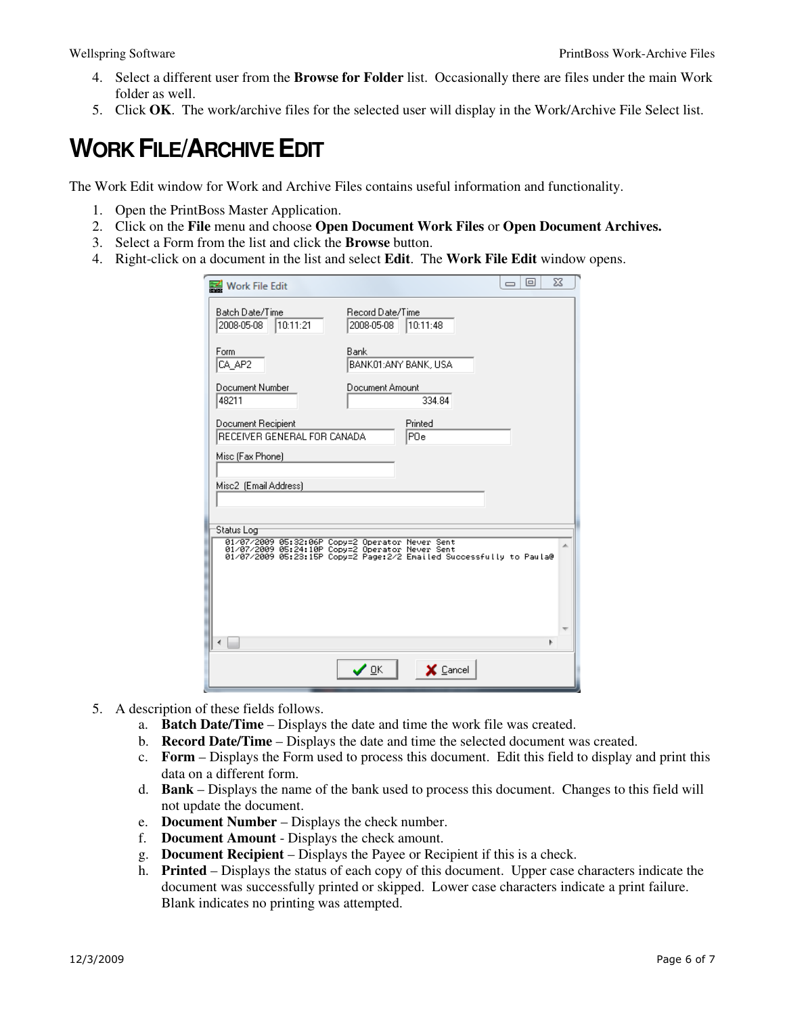- 4. Select a different user from the **Browse for Folder** list. Occasionally there are files under the main Work folder as well.
- 5. Click **OK**. The work/archive files for the selected user will display in the Work/Archive File Select list.

## **WORK FILE/ARCHIVE EDIT**

The Work Edit window for Work and Archive Files contains useful information and functionality.

- 1. Open the PrintBoss Master Application.
- 2. Click on the **File** menu and choose **Open Document Work Files** or **Open Document Archives.**
- 3. Select a Form from the list and click the **Browse** button.
- 4. Right-click on a document in the list and select **Edit**. The **Work File Edit** window opens.

| Work File Edit                                    |                                                                                                                                                                           | $\Box$ | ▣ | $\Sigma$ |
|---------------------------------------------------|---------------------------------------------------------------------------------------------------------------------------------------------------------------------------|--------|---|----------|
| Batch Date/Time<br>10:11:21<br>2008-05-08         | Record Date/Time<br>2008-05-08<br>10:11:48                                                                                                                                |        |   |          |
| Form<br>CA AP2                                    | Bank<br>BANK01:ANY BANK, USA                                                                                                                                              |        |   |          |
| Document Number<br>48211                          | Document Amount<br>334.84                                                                                                                                                 |        |   |          |
| Document Recipient<br>RECEIVER GENERAL FOR CANADA | Printed<br>POe                                                                                                                                                            |        |   |          |
| Misc (Fax Phone)                                  |                                                                                                                                                                           |        |   |          |
| Misc2 (Email Address)                             |                                                                                                                                                                           |        |   |          |
| Status Log                                        |                                                                                                                                                                           |        |   |          |
|                                                   | 01/07/2009 05:32:06P Copy=2 Operator Never Sent<br>01/07/2009 05:24:10P Copy=2 Operator Never Sent<br>01/07/2009 05:23:15P Copy=2 Page:2/2 Emailed Successfully to Paula@ |        |   |          |
|                                                   |                                                                                                                                                                           |        |   |          |
|                                                   |                                                                                                                                                                           |        | Þ |          |
|                                                   | ✔ ₫ĸ<br>$\times$ Cancel                                                                                                                                                   |        |   |          |

- 5. A description of these fields follows.
	- a. **Batch Date/Time** Displays the date and time the work file was created.
	- b. **Record Date/Time** Displays the date and time the selected document was created.
	- c. **Form** Displays the Form used to process this document. Edit this field to display and print this data on a different form.
	- d. **Bank**  Displays the name of the bank used to process this document. Changes to this field will not update the document.
	- e. **Document Number**  Displays the check number.
	- f. **Document Amount**  Displays the check amount.
	- g. **Document Recipient**  Displays the Payee or Recipient if this is a check.
	- h. **Printed**  Displays the status of each copy of this document. Upper case characters indicate the document was successfully printed or skipped. Lower case characters indicate a print failure. Blank indicates no printing was attempted.